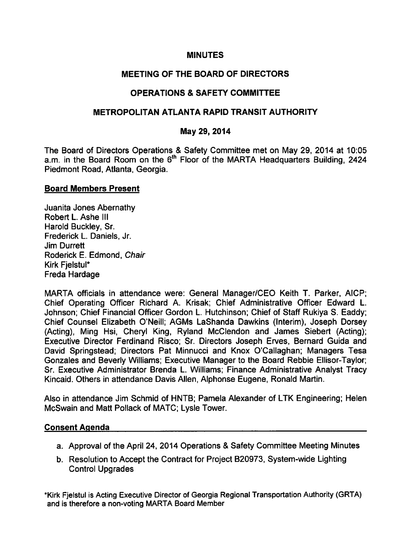## **MINUTES**

## MEETING OF THE BOARD OF DIRECTORS

## OPERATIONS & SAFETY COMMITTEE

## METROPOLITAN ATLANTA RAPID TRANSIT AUTHORITY

## May 29, 2014

The Board of Directors Operations & Safety Committee met on May 29, 2014 at 10:05 a.m. in the Board Room on the 6<sup>th</sup> Floor of the MARTA Headquarters Building, 2424 Piedmont Road, Atlanta, Georgia.

#### Board Members Present

Juanita Jones Abernathy Robert L. Ashe III Harold Buckley, Sr. Frederick L. Daniels, Jr. Jim Durrett Roderick E. Edmond, Chair Kirk FjelstuI\* Freda Hardage

MARTA officials in attendance were: General Manager/CEO Keith T. Parker, AICP; Chief Operating Officer Richard A. Krisak; Chief Administrative Officer Edward L. Johnson; Chief Financial Officer Gordon L. Hutchinson; Chief of Staff Rukiya S. Eaddy; Chief Counsel Elizabeth O'Neill; AGMs LaShanda Dawkins (Interim), Joseph Dorsey (Acting), Ming Hsi, Cheryl King, Ryland McClendon and James Siebert (Acting); Executive Director Ferdinand Risco; Sr. Directors Joseph Erves, Bernard Guida and David Springstead; Directors Pat Minnucci and Knox O'Callaghan; Managers Tesa Gonzales and Beverly Williams; Executive Manager to the Board Rebbie Ellisor-Taylor; Sr. Executive Administrator Brenda L. Williams; Finance Administrative Analyst Tracy Kincaid. Others in attendance Davis Allen, Alphonse Eugene, Ronald Martin.

Also in attendance Jim Schmid of HNTB; Pamela Alexander of LTK Engineering; Helen McSwain and Matt Pollack of MATC; Lysle Tower.

## Consent Agenda

- a. Approval of the April 24, 2014 Operations & Safety Committee Meeting Minutes
- b. Resolution to Accept the Contract for Project B20973, System-wide Lighting Control Upgrades

\*Kirk FjelstuI is Acting Executive Director of Georgia Regional Transportation Authority (GRTA) and is therefore a non-voting MARTA Board Member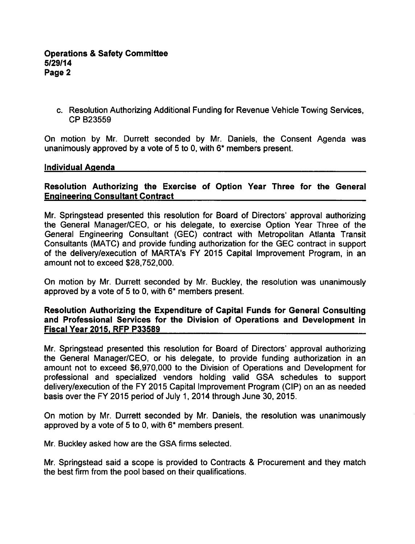c. Resolution Authorizing Additional Funding for Revenue Vehicle Towing Services, CP B23559

On motion by Mr. Durrett seconded by Mr. Daniels, the Consent Agenda was unanimously approved by a vote of 5 to 0, with  $6*$  members present.

#### Individual Agenda

## Resolution Authorizing the Exercise of Option Year Three for the General Engineering Consultant Contract

Mr. Springstead presented this resolution for Board of Directors' approval authorizing the General Manager/CEO, or his delegate, to exercise Option Year Three of the General Engineering Consultant (GEC) contract with Metropolitan Atlanta Transit Consultants (MATC) and provide funding authorization for the GEC contract in support of the delivery/execution of MARTA's FY 2015 Capital Improvement Program, in an amount not to exceed \$28,752,000.

On motion by Mr. Durrett seconded by Mr. Buckley, the resolution was unanimously approved by a vote of 5 to 0, with  $6*$  members present.

#### Resolution Authorizing the Expenditure of Capital Funds for General Consulting and Professional Services for the Division of Operations and Development in Fiscal Year 2015. RFP P33589

Mr. Springstead presented this resolution for Board of Directors' approval authorizing the General Manager/CEO, or his delegate, to provide funding authorization in an amount not to exceed \$6,970,000 to the Division of Operations and Development for professional and specialized vendors holding valid GSA schedules to support delivery/execution of the FY 2015 Capital Improvement Program (CIP) on an as needed basis over the FY 2015 period of July 1, 2014 through June 30, 2015.

On motion by Mr. Durrett seconded by Mr. Daniels, the resolution was unanimously approved by a vote of 5 to 0, with  $6*$  members present.

Mr. Buckley asked how are the GSA firms selected.

Mr. Springstead said a scope is provided to Contracts & Procurement and they match the best firm from the pool based on their qualifications.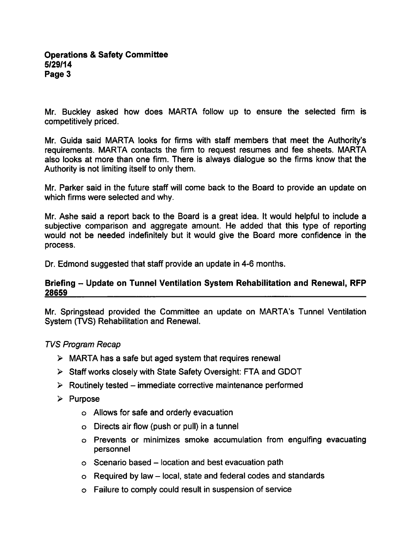Mr. Buckley asked how does MARTA follow up to ensure the selected firm is competitively priced.

Mr. Guida said MARTA looks for firms with staff members that meet the Authority's requirements. MARTA contacts the firm to request resumes and fee sheets. MARTA also looks at more than one firm. There is always dialogue so the firms know that the Authority is not limiting itself to only them.

Mr. Parker said in the future staff will come back to the Board to provide an update on which firms were selected and why.

Mr. Ashe said a report back to the Board is a great idea. It would helpful to include a subjective comparison and aggregate amount. He added that this type of reporting would not be needed indefinitely but it would give the Board more confidence in the process.

Dr. Edmond suggested that staff provide an update in 4-6 months.

## Briefing – Update on Tunnel Ventilation System Rehabilitation and Renewal, RFP 28659

Mr. Springstead provided the Committee an update on MARTA's Tunnel Ventilation System (TVS) Rehabilitation and Renewal.

## TVS Program Recap

- $\triangleright$  MARTA has a safe but aged system that requires renewal
- $\triangleright$  Staff works closely with State Safety Oversight: FTA and GDOT
- $\triangleright$  Routinely tested immediate corrective maintenance performed
- $\triangleright$  Purpose
	- Allows for safe and orderly evacuation
	- $\circ$  Directs air flow (push or pull) in a tunnel
	- Prevents or minimizes smoke accumulation from engulfing evacuating personnel
	- $\circ$  Scenario based location and best evacuation path
	- $\circ$  Required by law local, state and federal codes and standards
	- Failure to comply could result in suspension of service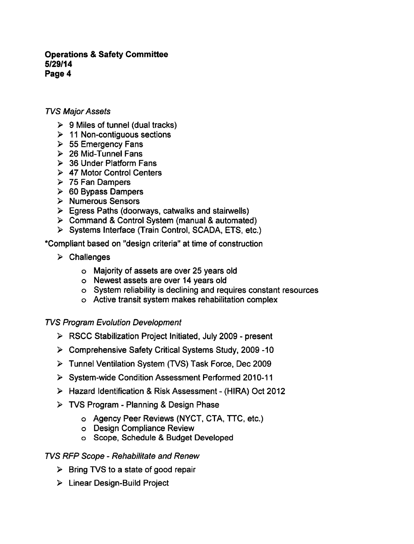## TVS Major Assets

- $\triangleright$  9 Miles of tunnel (dual tracks)
- $\geq 11$  Non-contiguous sections
- $> 55$  Emergency Fans
- $\geq$  26 Mid-Tunnel Fans
- ▶ 36 Under Platform Fans
- 47 Motor Control Centers
- $> 75$  Fan Dampers
- $\geq$  60 Bypass Dampers
- > Numerous Sensors
- $\triangleright$  Egress Paths (doorways, catwalks and stairwells)
- $\triangleright$  Command & Control System (manual & automated)
- Systems Interface (Train Control, SCADA, ETS, etc.)

"Compliant based on "design criteria" at time of construction

- $\triangleright$  Challenges
	- Majority of assets are over 25 years old
	- Newest assets are over 14 years old
	- System reliability is declining and requires constant resources
	- Active transit system makes rehabilitation complex

# TVS Program Evolution Development

- $\triangleright$  RSCC Stabilization Project Initiated, July 2009 present
- Comprehensive Safety Critical Systems Study, 2009 -10
- Tunnel Ventilation System (TVS) Task Force, Dec 2009
- System-wide Condition Assessment Performed 2010-11
- ▶ Hazard Identification & Risk Assessment (HIRA) Oct 2012
- $\triangleright$  TVS Program Planning & Design Phase
	- Agency Peer Reviews (NYCT, CTA, TTC, etc.)
	- Design Compliance Review
	- o Scope, Schedule & Budget Developed

## TVS RFP Scope - Rehabilitate and Renew

- $\triangleright$  Bring TVS to a state of good repair
- Linear Design-Build Project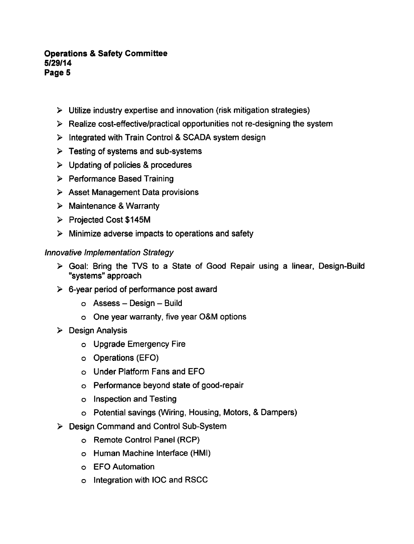- $\triangleright$  Utilize industry expertise and innovation (risk mitigation strategies)
- $\triangleright$  Realize cost-effective/practical opportunities not re-designing the system
- $\triangleright$  Integrated with Train Control & SCADA system design
- $\triangleright$  Testing of systems and sub-systems
- $\triangleright$  Updating of policies & procedures
- Performance Based Training
- $\triangleright$  Asset Management Data provisions
- $\triangleright$  Maintenance & Warranty
- Projected Cost \$145M
- $\triangleright$  Minimize adverse impacts to operations and safety

#### Innovative Implementation Strategy

- $\triangleright$  Goal: Bring the TVS to a State of Good Repair using a linear, Design-Build "systems" approach
- $\triangleright$  6-year period of performance post award
	- $\circ$  Assess Design Build
	- One year warranty, five year O&M options
- $\triangleright$  Design Analysis
	- o Upgrade Emergency Fire
	- o Operations (EFO)
	- o Under Platform Fans and EFO
	- Performance beyond state of good-repair
	- o Inspection and Testing
	- o Potential savings (Wiring, Housing, Motors, & Dampers)
- Design Command and Control Sub-System
	- o Remote Control Panel (RCP)
	- Human Machine Interface (HMI)
	- EFO Automation
	- Integration with IOC and RSCC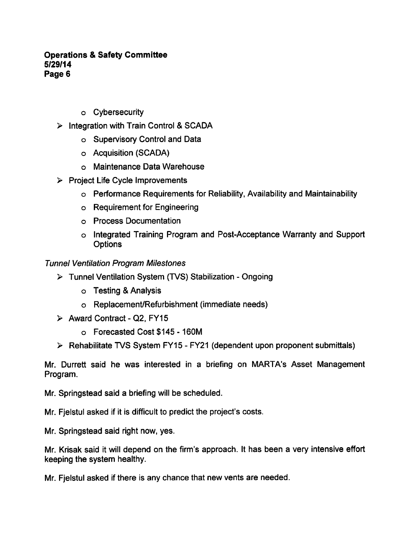- o Cybersecurity
- $\triangleright$  Integration with Train Control & SCADA
	- Supervisory Control and Data
	- Acquisition (SCADA)
	- Maintenance Data Warehouse
- $\triangleright$  Project Life Cycle Improvements
	- Performance Requirements for Reliability, Availability and Maintainability
	- Requirement for Engineering
	- Process Documentation
	- o Integrated Training Program and Post-Acceptance Warranty and Support **Options**

# Tunnel Ventilation Program Milestones

- > Tunnel Ventilation System (TVS) Stabilization Ongoing
	- o Testing & Analysis
	- Replacement/Refurbishment (immediate needs)
- $\triangleright$  Award Contract Q2, FY15
	- o Forecasted Cost \$145 160M
- $\triangleright$  Rehabilitate TVS System FY15 FY21 (dependent upon proponent submittals)

Mr. Durrett said he was interested in a briefing on MARTA's Asset Management Program.

Mr. Springstead said a briefing will be scheduled.

Mr. Fjelstul asked if it is difficult to predict the project's costs.

Mr. Springstead said right now, yes.

Mr. Krisak said it will depend on the firm's approach. It has been a very intensive effort keeping the system healthy.

Mr. Fjelstul asked if there is any chance that new vents are needed.